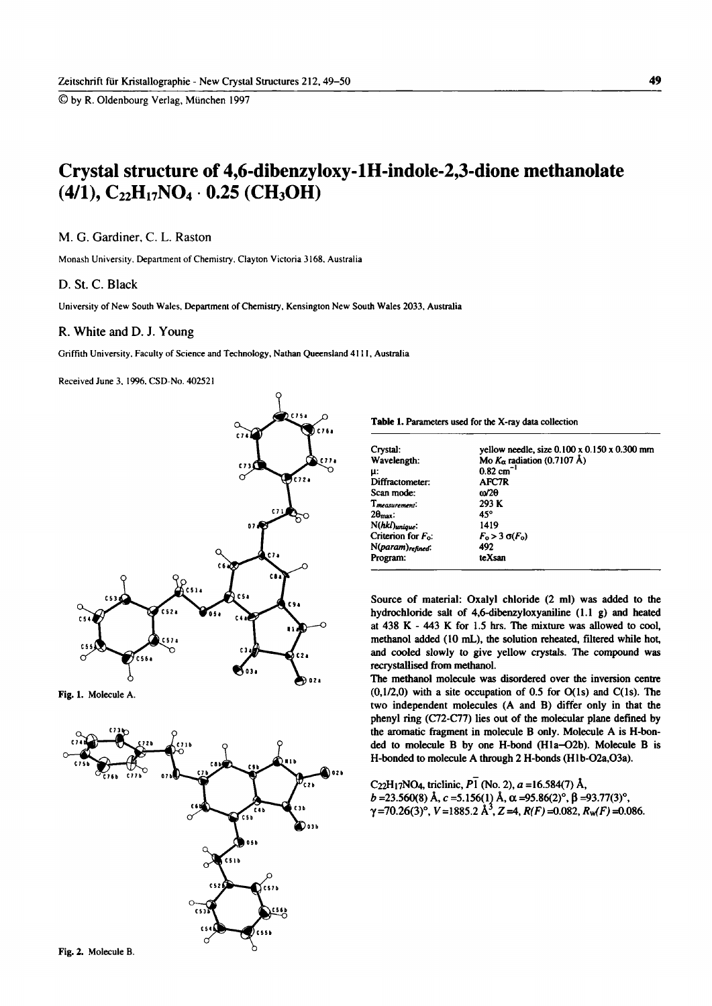© by R. Oldenbourg Verlag, München 1997

# **Crystal structure of 4,6-dibenzyloxy-lH-indole-2,3-dione methanolate**   $(4/1)$ ,  $C_{22}H_{17}NO_4 \cdot 0.25$  (CH<sub>3</sub>OH)

### **M. G. Gardiner, C. L. Raston**

Monash University. Department of Chemistry. Clayton Victoria 3168, Australia

#### **D. St. C. Black**

**University of New South Wales, Department of Chemistry, Kensington New South Wales 2033, Australia** 

#### **R. White and D. J. Young**

**Griffith University. Faculty of Science and Technology, Nathan Queensland 4111, Australia** 

**Received June 3, 1996. CSD-No. 402521** 



**Fig. 1. Molecule A.** 



Table 1. **Parameters used for the X-ray data collection** 

| Crystal:                 | yellow needle, size 0.100 x 0.150 x 0.300 mm |
|--------------------------|----------------------------------------------|
| Wavelength:              | Mo $K_{\alpha}$ radiation (0.7107 Å)         |
| μ:                       | $0.82 \text{ cm}^{-1}$                       |
| Diffractometer:          | AFC7R                                        |
| Scan mode:               | ω/2θ                                         |
| $T_{measurement}:$       | 293 K                                        |
| $2\theta_{\text{max}}$ : | 45°                                          |
| N(hkl)unique:            | 1419                                         |
| Criterion for $F_0$ :    | $F_0 > 3 \sigma(F_0)$                        |
| N(param)refined.         | 492                                          |
| Program:                 | teXsan                                       |

Source of material: Oxalyl chloride (2 ml) was added to the hydrochloride salt of 4,6-dibenzyloxyaniline (1.1 g) and heated at 438 Κ - 443 Κ for l.S hrs. The mixture was allowed to cool, methanol added (10 mL), the solution reheated, filtered while hot, and cooled slowly to give yellow crystals. The compound was recrystallised from methanol.

The methanol molecule was disordered over the inversion centre  $(0,1/2,0)$  with a site occupation of 0.5 for  $O(1s)$  and  $C(1s)$ . The two independent molecules (A and B) differ only in that the phenyl ring (C72-C77) lies out of the molecular plane defined by the aromatic fragment in molecule Β only. Molecule A is H-bonded to molecule Β by one Η-bond (Hla-02b). Molecule Β is Η-bonded to molecule A through 2 Η-bonds (Hlb-02a,03a).

C<sub>22</sub>H<sub>17</sub>NO<sub>4</sub>, triclinic,  $P_1$  (No. 2), a =16.584(7) Å, *b* =23.560(8) Â, *c* =5.156(1) Â, α =95.86(2)°, β =93.77(3)°,  $\gamma$ =70.26(3)°, *V* =1885.2 Å<sup>3</sup>, *Z* =4, *R(F)* =0.082, *R<sub>W</sub>(F)* =0.086.